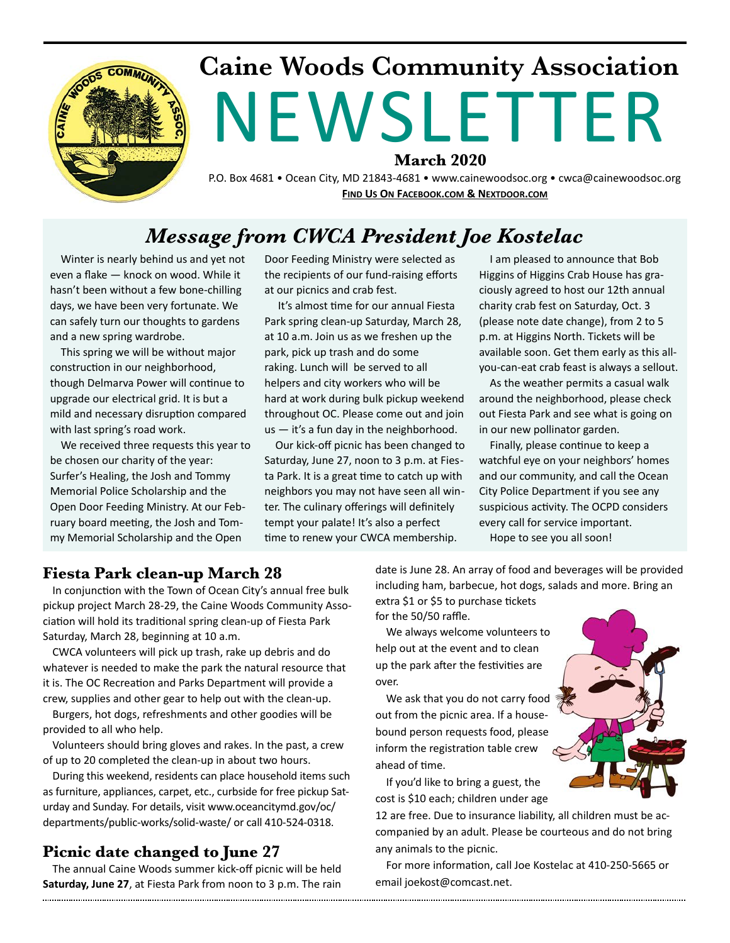

## **Caine Woods Community Association**  NEWSLETTER **March 2020**

P.O. Box 4681 • Ocean City, MD 21843-4681 • www.cainewoodsoc.org • cwca@cainewoodsoc.org **FIND US ON FACEBOOK.COM & NEXTDOOR.COM** 

### *Message from CWCA President Joe Kostelac*

Winter is nearly behind us and yet not even a flake — knock on wood. While it hasn't been without a few bone-chilling days, we have been very fortunate. We can safely turn our thoughts to gardens and a new spring wardrobe.

This spring we will be without major construction in our neighborhood, though Delmarva Power will continue to upgrade our electrical grid. It is but a mild and necessary disruption compared with last spring's road work.

We received three requests this year to be chosen our charity of the year: Surfer's Healing, the Josh and Tommy Memorial Police Scholarship and the Open Door Feeding Ministry. At our February board meeting, the Josh and Tommy Memorial Scholarship and the Open

Door Feeding Ministry were selected as the recipients of our fund-raising efforts at our picnics and crab fest.

It's almost time for our annual Fiesta Park spring clean-up Saturday, March 28, at 10 a.m. Join us as we freshen up the park, pick up trash and do some raking. Lunch will be served to all helpers and city workers who will be hard at work during bulk pickup weekend throughout OC. Please come out and join us — it's a fun day in the neighborhood.

Our kick-off picnic has been changed to Saturday, June 27, noon to 3 p.m. at Fiesta Park. It is a great time to catch up with neighbors you may not have seen all winter. The culinary offerings will definitely tempt your palate! It's also a perfect time to renew your CWCA membership.

I am pleased to announce that Bob Higgins of Higgins Crab House has graciously agreed to host our 12th annual charity crab fest on Saturday, Oct. 3 (please note date change), from 2 to 5 p.m. at Higgins North. Tickets will be available soon. Get them early as this allyou-can-eat crab feast is always a sellout.

As the weather permits a casual walk around the neighborhood, please check out Fiesta Park and see what is going on in our new pollinator garden.

Finally, please continue to keep a watchful eye on your neighbors' homes and our community, and call the Ocean City Police Department if you see any suspicious activity. The OCPD considers every call for service important.

Hope to see you all soon!

#### **Fiesta Park clean-up March 28**

In conjunction with the Town of Ocean City's annual free bulk pickup project March 28-29, the Caine Woods Community Association will hold its traditional spring clean-up of Fiesta Park Saturday, March 28, beginning at 10 a.m.

CWCA volunteers will pick up trash, rake up debris and do whatever is needed to make the park the natural resource that it is. The OC Recreation and Parks Department will provide a crew, supplies and other gear to help out with the clean-up.

Burgers, hot dogs, refreshments and other goodies will be provided to all who help.

Volunteers should bring gloves and rakes. In the past, a crew of up to 20 completed the clean-up in about two hours.

During this weekend, residents can place household items such as furniture, appliances, carpet, etc., curbside for free pickup Saturday and Sunday. For details, visit www.oceancitymd.gov/oc/ departments/public-works/solid-waste/ or call 410-524-0318.

#### **Picnic date changed to June 27**

The annual Caine Woods summer kick-off picnic will be held **Saturday, June 27**, at Fiesta Park from noon to 3 p.m. The rain

date is June 28. An array of food and beverages will be provided including ham, barbecue, hot dogs, salads and more. Bring an

extra \$1 or \$5 to purchase tickets for the 50/50 raffle.

We always welcome volunteers to help out at the event and to clean up the park after the festivities are over.

We ask that you do not carry food out from the picnic area. If a housebound person requests food, please inform the registration table crew ahead of time.

If you'd like to bring a guest, the cost is \$10 each; children under age

12 are free. Due to insurance liability, all children must be accompanied by an adult. Please be courteous and do not bring any animals to the picnic.

For more information, call Joe Kostelac at 410-250-5665 or email joekost@comcast.net.

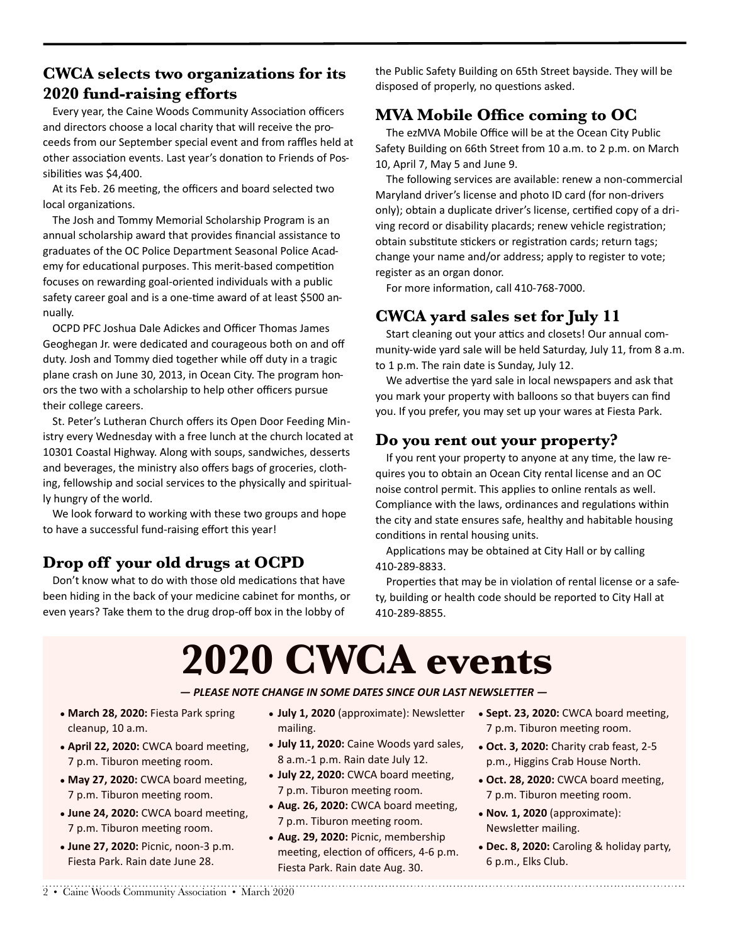#### **CWCA selects two organizations for its 2020 fund-raising efforts**

Every year, the Caine Woods Community Association officers and directors choose a local charity that will receive the proceeds from our September special event and from raffles held at other association events. Last year's donation to Friends of Possibilities was \$4,400.

At its Feb. 26 meeting, the officers and board selected two local organizations.

The Josh and Tommy Memorial Scholarship Program is an annual scholarship award that provides financial assistance to graduates of the OC Police Department Seasonal Police Academy for educational purposes. This merit-based competition focuses on rewarding goal-oriented individuals with a public safety career goal and is a one-time award of at least \$500 annually.

OCPD PFC Joshua Dale Adickes and Officer Thomas James Geoghegan Jr. were dedicated and courageous both on and off duty. Josh and Tommy died together while off duty in a tragic plane crash on June 30, 2013, in Ocean City. The program honors the two with a scholarship to help other officers pursue their college careers.

St. Peter's Lutheran Church offers its Open Door Feeding Ministry every Wednesday with a free lunch at the church located at 10301 Coastal Highway. Along with soups, sandwiches, desserts and beverages, the ministry also offers bags of groceries, clothing, fellowship and social services to the physically and spiritually hungry of the world.

We look forward to working with these two groups and hope to have a successful fund-raising effort this year!

#### **Drop off your old drugs at OCPD**

Don't know what to do with those old medications that have been hiding in the back of your medicine cabinet for months, or even years? Take them to the drug drop-off box in the lobby of

the Public Safety Building on 65th Street bayside. They will be disposed of properly, no questions asked.

#### **MVA Mobile Office coming to OC**

The ezMVA Mobile Office will be at the Ocean City Public Safety Building on 66th Street from 10 a.m. to 2 p.m. on March 10, April 7, May 5 and June 9.

The following services are available: renew a non-commercial Maryland driver's license and photo ID card (for non-drivers only); obtain a duplicate driver's license, certified copy of a driving record or disability placards; renew vehicle registration; obtain substitute stickers or registration cards; return tags; change your name and/or address; apply to register to vote; register as an organ donor.

For more information, call 410-768-7000.

#### **CWCA yard sales set for July 11**

Start cleaning out your attics and closets! Our annual community-wide yard sale will be held Saturday, July 11, from 8 a.m. to 1 p.m. The rain date is Sunday, July 12.

We advertise the yard sale in local newspapers and ask that you mark your property with balloons so that buyers can find you. If you prefer, you may set up your wares at Fiesta Park.

#### **Do you rent out your property?**

If you rent your property to anyone at any time, the law requires you to obtain an Ocean City rental license and an OC noise control permit. This applies to online rentals as well. Compliance with the laws, ordinances and regulations within the city and state ensures safe, healthy and habitable housing conditions in rental housing units.

Applications may be obtained at City Hall or by calling 410-289-8833.

Properties that may be in violation of rental license or a safety, building or health code should be reported to City Hall at 410-289-8855.

# **2020 CWCA events**

#### $-$  PLEASE NOTE CHANGE IN SOME DATES SINCE OUR LAST NEWSLETTER  $-$

- March 28, 2020: Fiesta Park spring cleanup, 10 a.m.
- April 22, 2020: CWCA board meeting, 7 p.m. Tiburon meeting room.
- May 27, 2020: CWCA board meeting, 7 p.m. Tiburon meeting room.
- June 24, 2020: CWCA board meeting, 7 p.m. Tiburon meeting room.
- **June 27, 2020:** Picnic, noon-3 p.m. Fiesta Park. Rain date June 28.
- July 1, 2020 (approximate): Newsletter mailing.
- July 11, 2020: Caine Woods yard sales, 8 a.m.-1 p.m. Rain date July 12.
- **July 22, 2020:** CWCA board meeting, 7 p.m. Tiburon meeting room.
- Aug. 26, 2020: CWCA board meeting, 7 p.m. Tiburon meeting room.
- **Aug. 29, 2020:** Picnic, membership meeting, election of officers, 4-6 p.m. Fiesta Park. Rain date Aug. 30.
- Sept. 23, 2020: CWCA board meeting, 7 p.m. Tiburon meeting room.
- Oct. 3, 2020: Charity crab feast, 2-5 p.m., Higgins Crab House North.
- Oct. 28, 2020: CWCA board meeting, 7 p.m. Tiburon meeting room.
- **Nov. 1, 2020** (approximate): Newsletter mailing.

• **Dec. 8, 2020:** Caroling & holiday party, 6 p.m., Elks Club.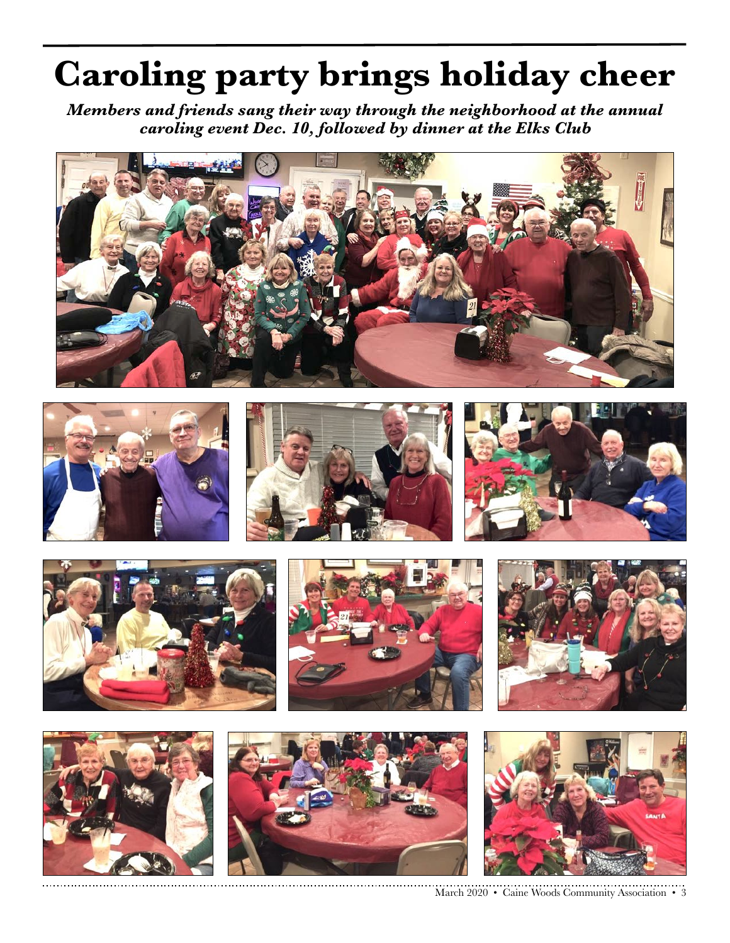# **Caroling party brings holiday cheer**

*Members and friends sang their way through the neighborhood at the annual caroling event Dec. 10, followed by dinner at the Elks Club*





















March 2020 • Caine Woods Community Association • 3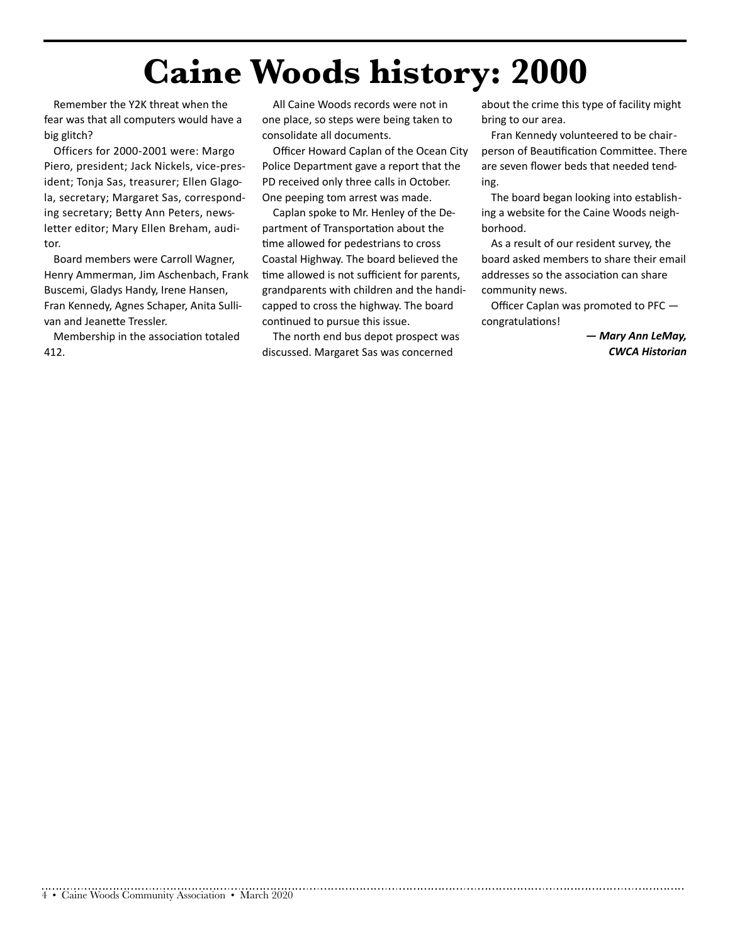## **Caine Woods history: 2000**

Remember the Y2K threat when the fear was that all computers would have a big glitch?

Officers for 2000-2001 were: Margo Piero, president; Jack Nickels, vice-president; Tonja Sas, treasurer; Ellen Glagola, secretary; Margaret Sas, corresponding secretary; Betty Ann Peters, newsletter editor; Mary Ellen Breham, auditor.

Board members were Carroll Wagner, Henry Ammerman, Jim Aschenbach, Frank Buscemi, Gladys Handy, Irene Hansen, Fran Kennedy, Agnes Schaper, Anita Sullivan and Jeanette Tressler.

Membership in the association totaled 412.

All Caine Woods records were not in one place, so steps were being taken to consolidate all documents.

Officer Howard Caplan of the Ocean City Police Department gave a report that the PD received only three calls in October. One peeping tom arrest was made.

Caplan spoke to Mr. Henley of the Department of Transportation about the time allowed for pedestrians to cross Coastal Highway. The board believed the time allowed is not sufficient for parents, grandparents with children and the handicapped to cross the highway. The board continued to pursue this issue.

The north end bus depot prospect was discussed. Margaret Sas was concerned

about the crime this type of facility might bring to our area.

Fran Kennedy volunteered to be chairperson of Beautification Committee. There are seven flower beds that needed tending.

The board began looking into establishing a website for the Caine Woods neighborhood.

As a result of our resident survey, the board asked members to share their email addresses so the association can share community news.

Officer Caplan was promoted to PFC congratulations!

> *— Mary Ann LeMay, CWCA Historian*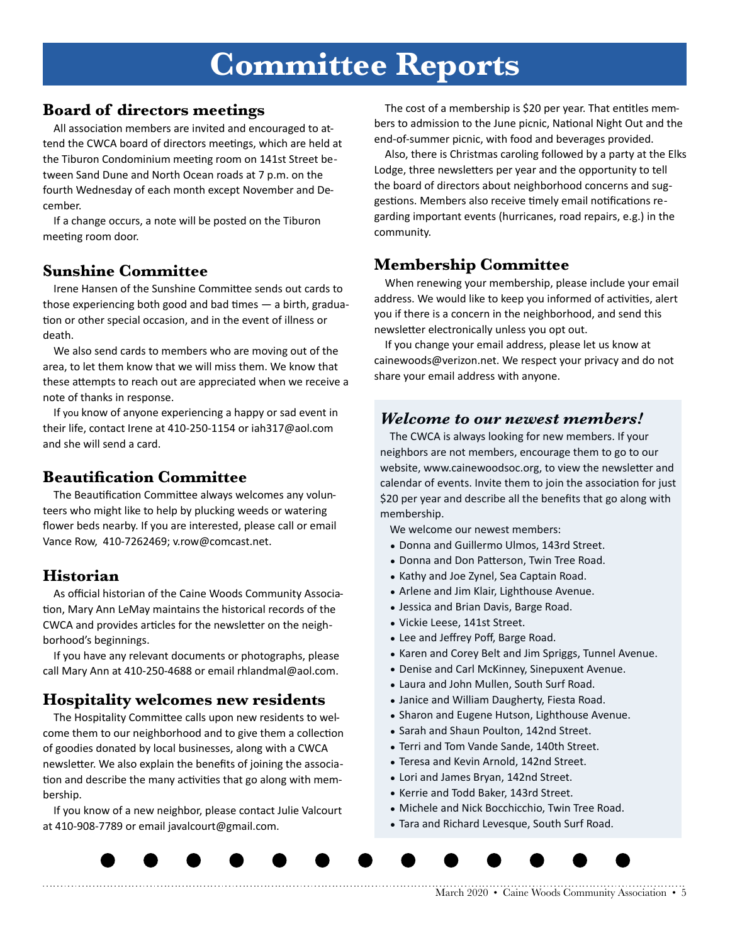## **Committee Reports**

#### **Board of directors meetings**

All association members are invited and encouraged to attend the CWCA board of directors meetings, which are held at the Tiburon Condominium meeting room on 141st Street between Sand Dune and North Ocean roads at 7 p.m. on the fourth Wednesday of each month except November and December.

If a change occurs, a note will be posted on the Tiburon meeting room door.

#### **Sunshine Committee**

Irene Hansen of the Sunshine Committee sends out cards to those experiencing both good and bad times  $-$  a birth, graduation or other special occasion, and in the event of illness or death.

We also send cards to members who are moving out of the area, to let them know that we will miss them. We know that these attempts to reach out are appreciated when we receive a note of thanks in response.

If you know of anyone experiencing a happy or sad event in their life, contact Irene at 410-250-1154 or iah317@aol.com and she will send a card.

#### **Beautification Committee**

The Beautification Committee always welcomes any volunteers who might like to help by plucking weeds or watering flower beds nearby. If you are interested, please call or email Vance Row, 410-7262469; v.row@comcast.net.

#### **Historian**

As official historian of the Caine Woods Community Association, Mary Ann LeMay maintains the historical records of the CWCA and provides articles for the newsletter on the neighborhood's beginnings.

If you have any relevant documents or photographs, please call Mary Ann at 410-250-4688 or email [rhlandmal@aol.com.](mailto:rhlandmal@aol.com)

#### **Hospitality welcomes new residents**

The Hospitality Committee calls upon new residents to welcome them to our neighborhood and to give them a collection of goodies donated by local businesses, along with a CWCA newsletter. We also explain the benefits of joining the association and describe the many activities that go along with membership.

If you know of a new neighbor, please contact Julie Valcourt at 410-908-7789 or email javalcourt@gmail.com.

The cost of a membership is \$20 per year. That entitles members to admission to the June picnic, National Night Out and the end-of-summer picnic, with food and beverages provided.

Also, there is Christmas caroling followed by a party at the Elks Lodge, three newsletters per year and the opportunity to tell the board of directors about neighborhood concerns and suggestions. Members also receive timely email notifications regarding important events (hurricanes, road repairs, e.g.) in the community.

#### **Membership Committee**

When renewing your membership, please include your email address. We would like to keep you informed of activities, alert you if there is a concern in the neighborhood, and send this newsletter electronically unless you opt out.

If you change your email address, please let us know at cainewoods@verizon.net. We respect your privacy and do not share your email address with anyone.

#### *Welcome to our newest members!*

The CWCA is always looking for new members. If your neighbors are not members, encourage them to go to our website, [www.cainewoodsoc.org](http://www.cainewoodsoc.org), to view the newsletter and calendar of events. Invite them to join the association for just \$20 per year and describe all the benefits that go along with membership.

We welcome our newest members:

- Donna and Guillermo Ulmos, 143rd Street.
- Donna and Don Patterson, Twin Tree Road.
- Kathy and Joe Zynel, Sea Captain Road.
- Arlene and Jim Klair, Lighthouse Avenue.
- Jessica and Brian Davis, Barge Road.
- Vickie Leese, 141st Street.
- Lee and Jeffrey Poff, Barge Road.
- Karen and Corey Belt and Jim Spriggs, Tunnel Avenue.
- Denise and Carl McKinney, Sinepuxent Avenue.
- Laura and John Mullen, South Surf Road.
- Janice and William Daugherty, Fiesta Road.
- Sharon and Eugene Hutson, Lighthouse Avenue.
- Sarah and Shaun Poulton, 142nd Street.
- Terri and Tom Vande Sande, 140th Street.
- Teresa and Kevin Arnold, 142nd Street.
- Lori and James Bryan, 142nd Street.
- Kerrie and Todd Baker, 143rd Street.

- Michele and Nick Bocchicchio, Twin Tree Road.
- Tara and Richard Levesque, South Surf Road.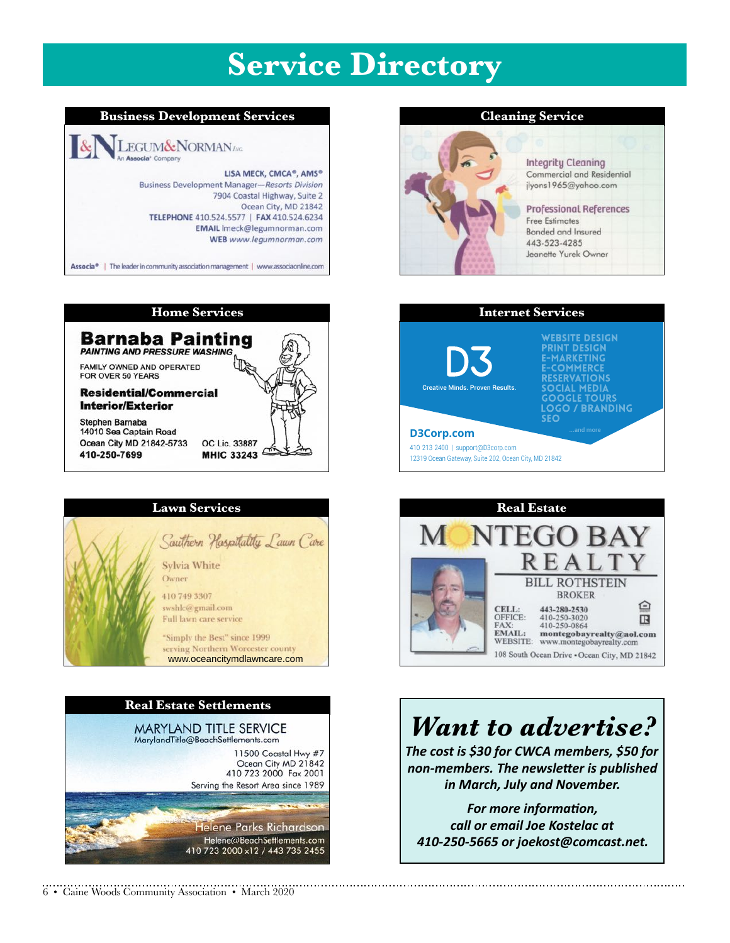### **Service Directory**









#### 6 • Caine Woods Community Association • March 2020

#### **Cleaning Service**



#### **Integrity Cleaning** Commercial and Residential jlyons1965@yahoo.com **Professional References Free Estimates** Bonded and Insured 443-523-4285 Jeanette Yurek Owner





### *Want to advertise?*

The cost is \$30 for CWCA members, \$50 for non-members. The newsletter is published *in March, July and November.* 

For more information, *call or email Joe Kostelac at 410-250-5665 or joekost@comcast.net.*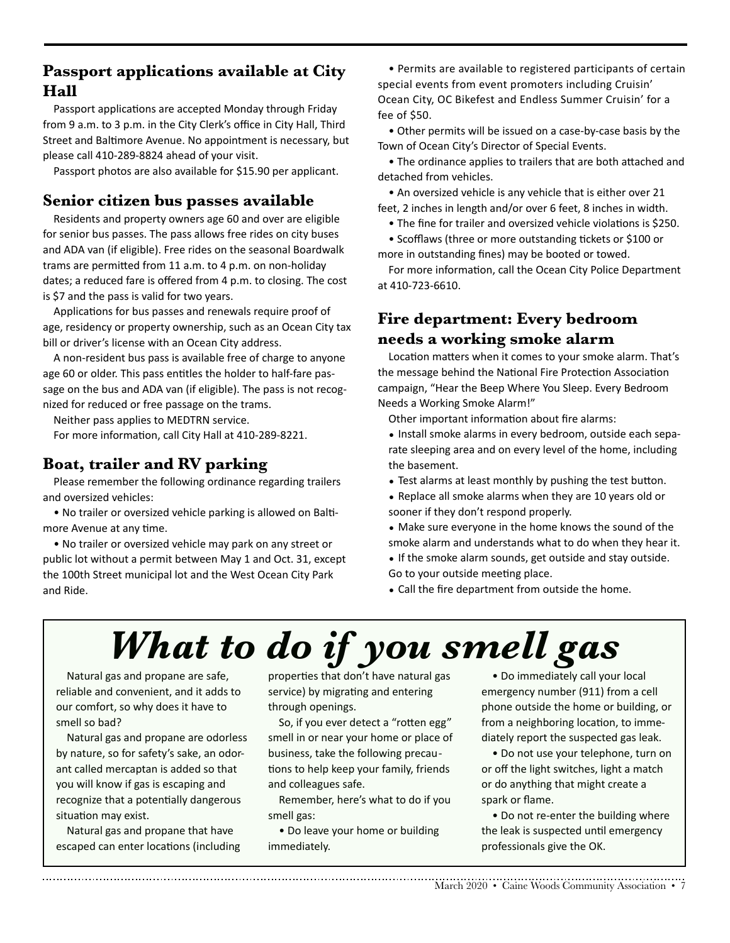#### **Passport applications available at City Hall**

Passport applications are accepted Monday through Friday from 9 a.m. to 3 p.m. in the City Clerk's office in City Hall, Third Street and Baltimore Avenue. No appointment is necessary, but please call 410-289-8824 ahead of your visit.

Passport photos are also available for \$15.90 per applicant.

#### **Senior citizen bus passes available**

Residents and property owners age 60 and over are eligible for senior bus passes. The pass allows free rides on city buses and ADA van (if eligible). Free rides on the seasonal Boardwalk trams are permitted from 11 a.m. to 4 p.m. on non-holiday dates; a reduced fare is offered from 4 p.m. to closing. The cost is \$7 and the pass is valid for two years.

Applications for bus passes and renewals require proof of age, residency or property ownership, such as an Ocean City tax bill or driver's license with an Ocean City address.

A non-resident bus pass is available free of charge to anyone age 60 or older. This pass entitles the holder to half-fare passage on the bus and ADA van (if eligible). The pass is not recognized for reduced or free passage on the trams.

Neither pass applies to MEDTRN service.

For more information, call City Hall at 410-289-8221.

#### **Boat, trailer and RV parking**

Please remember the following ordinance regarding trailers and oversized vehicles:

• No trailer or oversized vehicle parking is allowed on Baltimore Avenue at any time.

• No trailer or oversized vehicle may park on any street or public lot without a permit between May 1 and Oct. 31, except the 100th Street municipal lot and the West Ocean City Park and Ride.

• Permits are available to registered participants of certain special events from event promoters including Cruisin' Ocean City, OC Bikefest and Endless Summer Cruisin' for a fee of \$50.

• Other permits will be issued on a case-by-case basis by the Town of Ocean City's Director of Special Events.

• The ordinance applies to trailers that are both attached and detached from vehicles.

• An oversized vehicle is any vehicle that is either over 21 feet, 2 inches in length and/or over 6 feet, 8 inches in width.

• The fine for trailer and oversized vehicle violations is \$250.

• Scofflaws (three or more outstanding tickets or \$100 or more in outstanding fines) may be booted or towed.

For more information, call the Ocean City Police Department at 410-723-6610.

#### **Fire department: Every bedroom needs a working smoke alarm**

Location matters when it comes to your smoke alarm. That's the message behind the National Fire Protection Association campaign, "Hear the Beep Where You Sleep. Every Bedroom Needs a Working Smoke Alarm!"

Other important information about fire alarms:

- Install smoke alarms in every bedroom, outside each separate sleeping area and on every level of the home, including the basement.
- Test alarms at least monthly by pushing the test button.
- Replace all smoke alarms when they are 10 years old or sooner if they don't respond properly.
- Make sure everyone in the home knows the sound of the smoke alarm and understands what to do when they hear it.
- If the smoke alarm sounds, get outside and stay outside. Go to your outside meeting place.

• Call the fire department from outside the home.

# *What to do if you smell gas*

Natural gas and propane are safe, reliable and convenient, and it adds to our comfort, so why does it have to smell so bad?

Natural gas and propane are odorless by nature, so for safety's sake, an odorant called mercaptan is added so that you will know if gas is escaping and recognize that a potentially dangerous situation may exist.

Natural gas and propane that have escaped can enter locations (including

properties that don't have natural gas service) by migrating and entering through openings.

So, if you ever detect a "rotten egg" smell in or near your home or place of business, take the following precautions to help keep your family, friends and colleagues safe.

Remember, here's what to do if you smell gas:

• Do leave your home or building immediately.

• Do immediately call your local emergency number (911) from a cell phone outside the home or building, or from a neighboring location, to immediately report the suspected gas leak.

• Do not use your telephone, turn on or off the light switches, light a match or do anything that might create a spark or flame.

• Do not re-enter the building where the leak is suspected until emergency professionals give the OK.